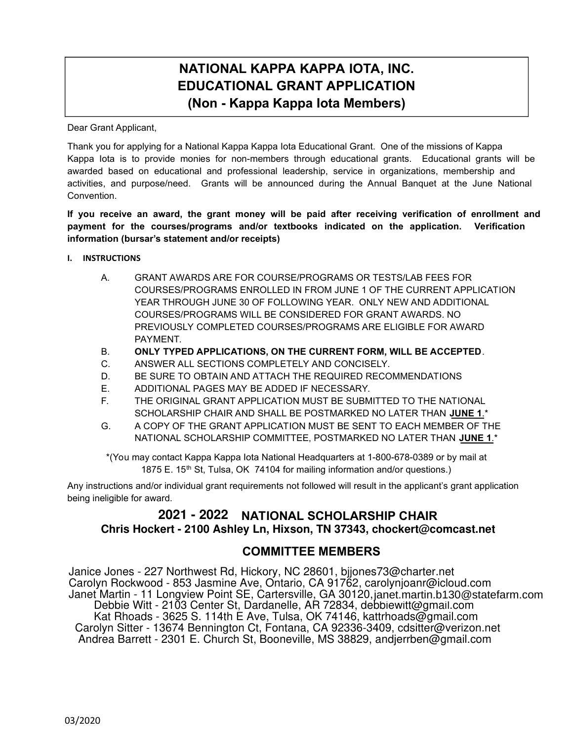# **NATIONAL KAPPA KAPPA IOTA, INC. EDUCATIONAL GRANT APPLICATION (Non - Kappa Kappa Iota Members)**

Dear Grant Applicant,

Thank you for applying for a National Kappa Kappa Iota Educational Grant. One of the missions of Kappa Kappa Iota is to provide monies for non-members through educational grants. Educational grants will be awarded based on educational and professional leadership, service in organizations, membership and activities, and purpose/need. Grants will be announced during the Annual Banquet at the June National Convention.

### **If you receive an award, the grant money will be paid after receiving verification of enrollment and payment for the courses/programs and/or textbooks indicated on the application. Verification information (bursar's statement and/or receipts)**

- **I. INSTRUCTIONS** 
	- A. GRANT AWARDS ARE FOR COURSE/PROGRAMS OR TESTS/LAB FEES FOR COURSES/PROGRAMS ENROLLED IN FROM JUNE 1 OF THE CURRENT APPLICATION YEAR THROUGH JUNE 30 OF FOLLOWING YEAR. ONLY NEW AND ADDITIONAL COURSES/PROGRAMS WILL BE CONSIDERED FOR GRANT AWARDS. NO PREVIOUSLY COMPLETED COURSES/PROGRAMS ARE ELIGIBLE FOR AWARD PAYMENT.
	- B. **ONLY TYPED APPLICATIONS, ON THE CURRENT FORM, WILL BE ACCEPTED**.
	- C. ANSWER ALL SECTIONS COMPLETELY AND CONCISELY.
	- D. BE SURE TO OBTAIN AND ATTACH THE REQUIRED RECOMMENDATIONS
	- E. ADDITIONAL PAGES MAY BE ADDED IF NECESSARY.
	- F. THE ORIGINAL GRANT APPLICATION MUST BE SUBMITTED TO THE NATIONAL SCHOLARSHIP CHAIR AND SHALL BE POSTMARKED NO LATER THAN **JUNE 1**.\*
	- G. A COPY OF THE GRANT APPLICATION MUST BE SENT TO EACH MEMBER OF THE NATIONAL SCHOLARSHIP COMMITTEE, POSTMARKED NO LATER THAN **JUNE 1**.\*

\*(You may contact Kappa Kappa Iota National Headquarters at 1-800-678-0389 or by mail at 1875 E. 15<sup>th</sup> St, Tulsa, OK 74104 for mailing information and/or questions.)

Any instructions and/or individual grant requirements not followed will result in the applicant's grant application being ineligible for award.

# **2020-2021 NATIONAL SCHOLARSHIP CHAIR 2021 - 2022 Wanda Huhn ~ PO Box 308, Princeton, LA 71067 ~ 318-949-6756 ~ wanda.huhn@lsus.edu Chris Hockert - 2100 Ashley Ln, Hixson, TN 37343, chockert@comcast.net**

## **COMMITTEE MEMBERS**

Janice Jones - 227 Northwest Rd, Hickory, NC 28601, bjjones73@charter.net Carolyn Rockwood - 853 Jasmine Ave, Ontario, CA 91762, carolynjoanr@icloud.com Janet Martin - 11 Longview Point SE, Cartersville, GA 30120, janet.martin.b13@statefarm.com janet.martin.b130@statefarm.com Debbie Witt - 2103 Center St, Dardanelle, AR 72834, debbiewitt@gmail.com Kat Rhoads - 3625 S. 114th E Ave, Tulsa, OK 74146, kattrhoads@gmail.com Carolyn Sitter - 13674 Bennington Ct, Fontana, CA 92336-3409, cdsitter@verizon.net Andrea Barrett - 2301 E. Church St, Booneville, MS 38829, andjerrben@gmail.com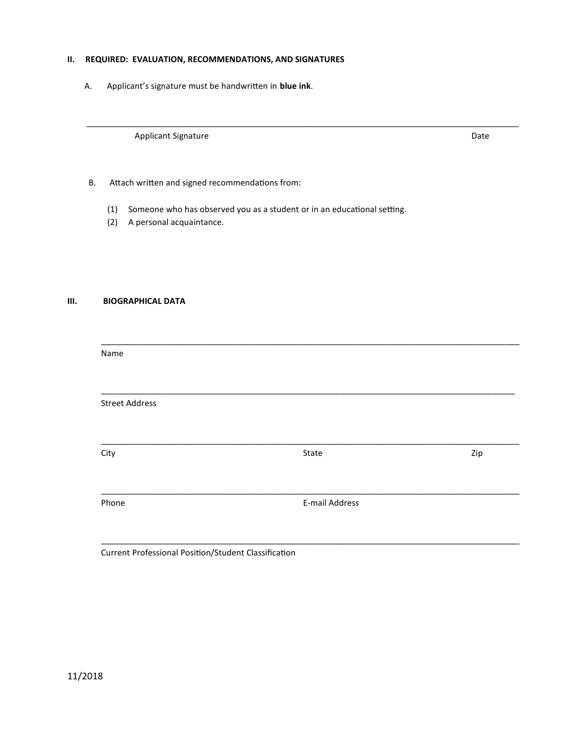### II. REQUIRED: EVALUATION, RECOMMENDATIONS, AND SIGNATURES

А. Applicant's signature must be handwritten in blue ink.

Applicant Signature

Date

- Attach written and signed recommendations from: **B.** 
	- (1) Someone who has observed you as a student or in an educational setting.
	- (2) A personal acquaintance.

#### $III.$ **BIOGRAPHICAL DATA**

| Name                  |                |     |
|-----------------------|----------------|-----|
| <b>Street Address</b> |                |     |
| City                  | State          | Zip |
| Phone                 | E-mail Address |     |
|                       |                |     |

Current Professional Position/Student Classification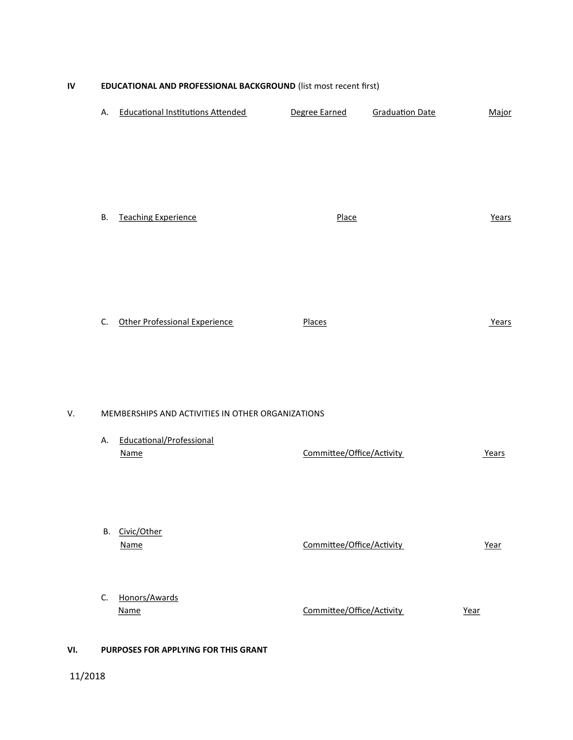### EDUCATIONAL AND PROFESSIONAL BACKGROUND (list most recent first)  $\mathbf{N}$

| А.                                                | <b>Educational Institutions Attended</b> | Degree Earned             | <b>Graduation Date</b> | Major |  |  |  |
|---------------------------------------------------|------------------------------------------|---------------------------|------------------------|-------|--|--|--|
| В.                                                | <b>Teaching Experience</b>               | Place                     |                        | Years |  |  |  |
| C.                                                | <b>Other Professional Experience</b>     | Places                    |                        | Years |  |  |  |
| MEMBERSHIPS AND ACTIVITIES IN OTHER ORGANIZATIONS |                                          |                           |                        |       |  |  |  |
| Α.                                                | Educational/Professional<br><b>Name</b>  | Committee/Office/Activity |                        | Years |  |  |  |
| В.                                                | Civic/Other<br>Name                      | Committee/Office/Activity |                        | Year  |  |  |  |
| C.                                                | Honors/Awards<br><b>Name</b>             | Committee/Office/Activity |                        | Year  |  |  |  |

### VI. PURPOSES FOR APPLYING FOR THIS GRANT

V.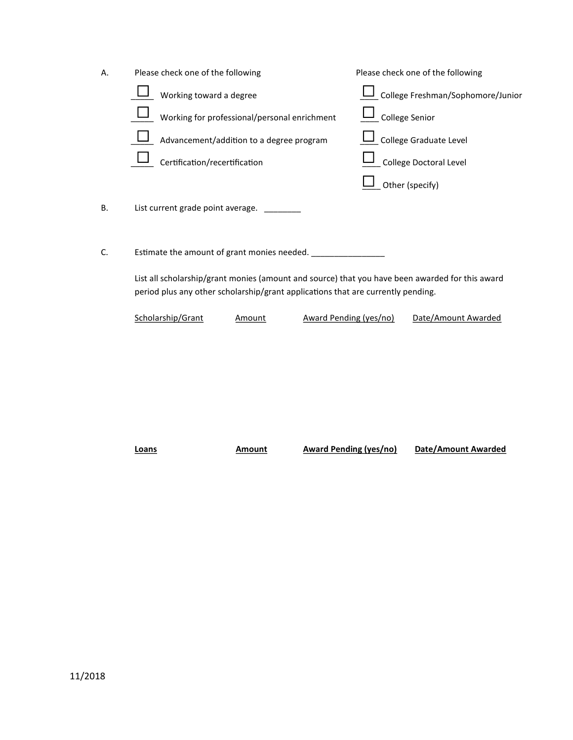| Α. | Please check one of the following                                                                                                                                                                                                  |                        | Please check one of the following |  |  |
|----|------------------------------------------------------------------------------------------------------------------------------------------------------------------------------------------------------------------------------------|------------------------|-----------------------------------|--|--|
|    | Working toward a degree                                                                                                                                                                                                            |                        | College Freshman/Sophomore/Junior |  |  |
|    | Working for professional/personal enrichment                                                                                                                                                                                       |                        | College Senior                    |  |  |
|    | Advancement/addition to a degree program                                                                                                                                                                                           |                        | College Graduate Level            |  |  |
|    | Certification/recertification                                                                                                                                                                                                      |                        | College Doctoral Level            |  |  |
|    |                                                                                                                                                                                                                                    |                        | Other (specify)                   |  |  |
| Β. | List current grade point average.                                                                                                                                                                                                  |                        |                                   |  |  |
| C. | Estimate the amount of grant monies needed.<br>List all scholarship/grant monies (amount and source) that you have been awarded for this award<br>period plus any other scholarship/grant applications that are currently pending. |                        |                                   |  |  |
|    |                                                                                                                                                                                                                                    |                        |                                   |  |  |
|    | Scholarship/Grant<br>Amount                                                                                                                                                                                                        | Award Pending (yes/no) | Date/Amount Awarded               |  |  |

Loans

**Amount** 

**Award Pending (yes/no)** 

Date/Amount Awarded